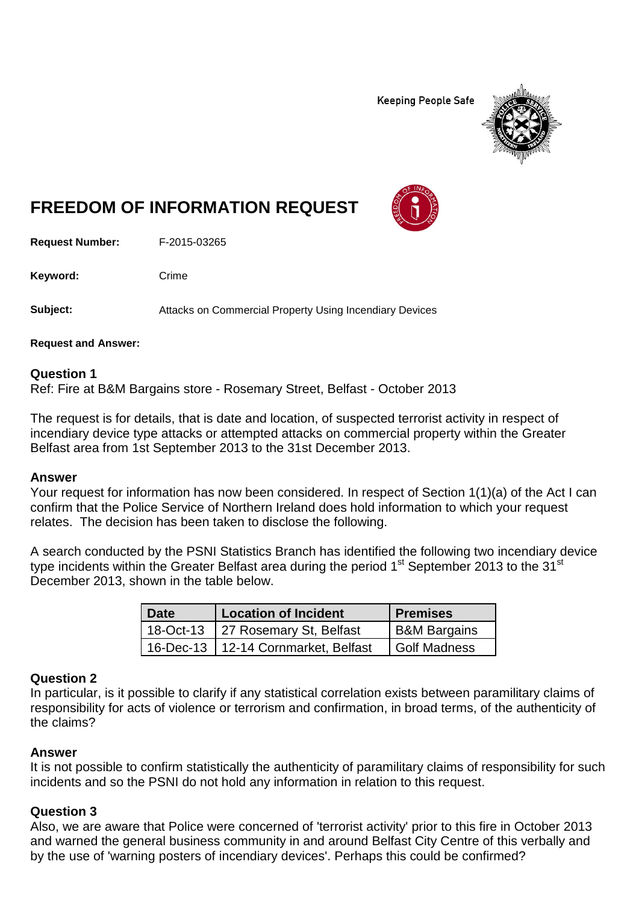**Keeping People Safe** 



# **FREEDOM OF INFORMATION REQUEST**

**Request Number:** F-2015-03265

Keyword: Crime

**Subject:** Attacks on Commercial Property Using Incendiary Devices

**Request and Answer:**

## **Question 1**

Ref: Fire at B&M Bargains store - Rosemary Street, Belfast - October 2013

The request is for details, that is date and location, of suspected terrorist activity in respect of incendiary device type attacks or attempted attacks on commercial property within the Greater Belfast area from 1st September 2013 to the 31st December 2013.

## **Answer**

Your request for information has now been considered. In respect of Section 1(1)(a) of the Act I can confirm that the Police Service of Northern Ireland does hold information to which your request relates. The decision has been taken to disclose the following.

A search conducted by the PSNI Statistics Branch has identified the following two incendiary device type incidents within the Greater Belfast area during the period  $1<sup>st</sup>$  September 2013 to the  $31<sup>st</sup>$ December 2013, shown in the table below.

| 'Date | <b>Location of Incident</b>           | <b>Premises</b>         |
|-------|---------------------------------------|-------------------------|
|       | 18-Oct-13 27 Rosemary St, Belfast     | <b>B&amp;M Bargains</b> |
|       | 16-Dec-13   12-14 Cornmarket, Belfast | <b>Golf Madness</b>     |

## **Question 2**

In particular, is it possible to clarify if any statistical correlation exists between paramilitary claims of responsibility for acts of violence or terrorism and confirmation, in broad terms, of the authenticity of the claims?

## **Answer**

It is not possible to confirm statistically the authenticity of paramilitary claims of responsibility for such incidents and so the PSNI do not hold any information in relation to this request.

## **Question 3**

Also, we are aware that Police were concerned of 'terrorist activity' prior to this fire in October 2013 and warned the general business community in and around Belfast City Centre of this verbally and by the use of 'warning posters of incendiary devices'. Perhaps this could be confirmed?